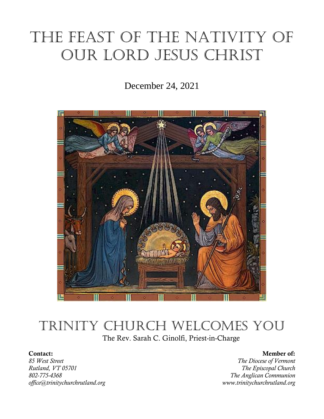# The Feast of the Nativity of Our Lord Jesus Christ

December 24, 2021



## Trinity Church Welcomes You The Rev. Sarah C. Ginolfi, Priest-in-Charge

*85 West Street The Diocese of Vermont Rutland, VT 05701 The Episcopal Church 802-775-4368 The Anglican Communion office@trinitychurchrutland.org www.trinitychurchrutland.org*

#### Contact: Member of: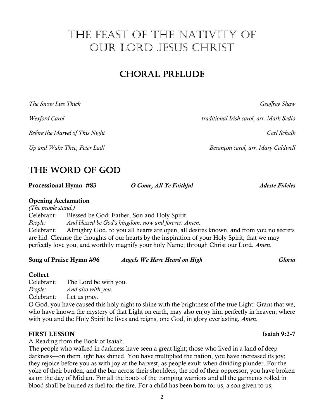*Wexford Carol traditional Irish carol, arr. Mark Sedio*

*Up and Wake Thee, Peter Lad! Besançon carol, arr. Mary Caldwell*

## The Word of God

Processional Hymn #83 *O Come, All Ye Faithful Adeste Fideles*

#### Opening Acclamation

*(The people stand.)* Celebrant*:* Blessed be God: Father, Son and Holy Spirit. *People: And blessed be God's kingdom, now and forever. Amen.* Celebrant*:* Almighty God, to you all hearts are open, all desires known, and from you no secrets are hid: Cleanse the thoughts of our hearts by the inspiration of your Holy Spirit, that we may perfectly love you, and worthily magnify your holy Name; through Christ our Lord. *Amen*.

Song of Praise Hymn #96 *Angels We Have Heard on High Gloria*

#### Collect

Celebrant*:* The Lord be with you. *People: And also with you.* Celebrant*:* Let us pray.

O God, you have caused this holy night to shine with the brightness of the true Light: Grant that we, who have known the mystery of that Light on earth, may also enjoy him perfectly in heaven; where with you and the Holy Spirit he lives and reigns, one God, in glory everlasting. *Amen*.

#### FIRST LESSON Isaiah 9:2-7

A Reading from the Book of Isaiah.

The people who walked in darkness have seen a great light; those who lived in a land of deep darkness—on them light has shined. You have multiplied the nation, you have increased its joy; they rejoice before you as with joy at the harvest, as people exult when dividing plunder. For the yoke of their burden, and the bar across their shoulders, the rod of their oppressor, you have broken as on the day of Midian. For all the boots of the tramping warriors and all the garments rolled in blood shall be burned as fuel for the fire. For a child has been born for us, a son given to us;

## The Feast of the Nativity of our Lord Jesus Christ

Choral Prelude

*The Snow Lies Thick Geoffrey Shaw*

*Before the Marvel of This Night* Carl Schalk Carl Schalk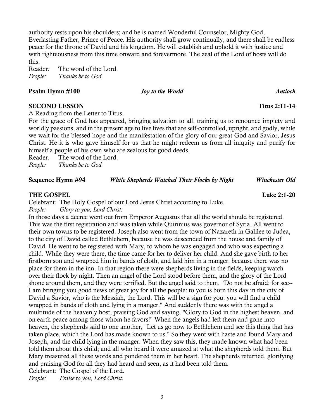authority rests upon his shoulders; and he is named Wonderful Counselor, Mighty God, Everlasting Father, Prince of Peace. His authority shall grow continually, and there shall be endless peace for the throne of David and his kingdom. He will establish and uphold it with justice and with righteousness from this time onward and forevermore. The zeal of the Lord of hosts will do this.

Reader*:* The word of the Lord. *People: Thanks be to God.*

#### Psalm Hymn #100 *Joy to the World Antioch*

### SECOND LESSON Titus 2:11-14

A Reading from the Letter to Titus.

For the grace of God has appeared, bringing salvation to all, training us to renounce impiety and worldly passions, and in the present age to live lives that are self-controlled, upright, and godly, while we wait for the blessed hope and the manifestation of the glory of our great God and Savior, Jesus Christ. He it is who gave himself for us that he might redeem us from all iniquity and purify for himself a people of his own who are zealous for good deeds.

Reader*:* The word of the Lord.

*People: Thanks be to God.*

Sequence Hymn #94 *While Shepherds Watched Their Flocks by Night Winchester Old*

#### THE GOSPEL Luke 2:1-20

Celebrant*:* The Holy Gospel of our Lord Jesus Christ according to Luke.

*People: Glory to you, Lord Christ.*

In those days a decree went out from Emperor Augustus that all the world should be registered. This was the first registration and was taken while Quirinius was governor of Syria. All went to their own towns to be registered. Joseph also went from the town of Nazareth in Galilee to Judea, to the city of David called Bethlehem, because he was descended from the house and family of David. He went to be registered with Mary, to whom he was engaged and who was expecting a child. While they were there, the time came for her to deliver her child. And she gave birth to her firstborn son and wrapped him in bands of cloth, and laid him in a manger, because there was no place for them in the inn. In that region there were shepherds living in the fields, keeping watch over their flock by night. Then an angel of the Lord stood before them, and the glory of the Lord shone around them, and they were terrified. But the angel said to them, "Do not be afraid; for see-- I am bringing you good news of great joy for all the people: to you is born this day in the city of David a Savior, who is the Messiah, the Lord. This will be a sign for you: you will find a child wrapped in bands of cloth and lying in a manger." And suddenly there was with the angel a multitude of the heavenly host, praising God and saying, "Glory to God in the highest heaven, and on earth peace among those whom he favors!" When the angels had left them and gone into heaven, the shepherds said to one another, "Let us go now to Bethlehem and see this thing that has taken place, which the Lord has made known to us." So they went with haste and found Mary and Joseph, and the child lying in the manger. When they saw this, they made known what had been told them about this child; and all who heard it were amazed at what the shepherds told them. But Mary treasured all these words and pondered them in her heart. The shepherds returned, glorifying and praising God for all they had heard and seen, as it had been told them.

Celebrant*:* The Gospel of the Lord.

*People: Praise to you, Lord Christ.*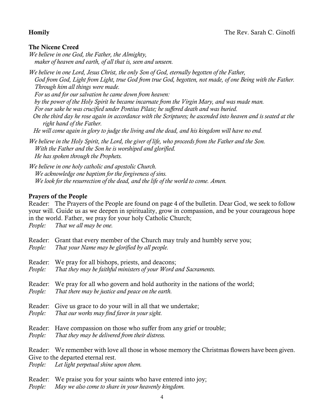### The Nicene Creed

*We believe in one God, the Father, the Almighty, maker of heaven and earth, of all that is, seen and unseen.*

*We believe in one Lord, Jesus Christ, the only Son of God, eternally begotten of the Father, God from God, Light from Light, true God from true God, begotten, not made, of one Being with the Father. Through him all things were made. For us and for our salvation he came down from heaven: by the power of the Holy Spirit he became incarnate from the Virgin Mary, and was made man. For our sake he was crucified under Pontius Pilate; he suffered death and was buried. On the third day he rose again in accordance with the Scriptures; he ascended into heaven and is seated at the right hand of the Father. He will come again in glory to judge the living and the dead, and his kingdom will have no end.*

*We believe in the Holy Spirit, the Lord, the giver of life, who proceeds from the Father and the Son. With the Father and the Son he is worshiped and glorified. He has spoken through the Prophets.*

*We believe in one holy catholic and apostolic Church. We acknowledge one baptism for the forgiveness of sins. We look for the resurrection of the dead, and the life of the world to come. Amen.*

### Prayers of the People

Reader: The Prayers of the People are found on page 4 of the bulletin. Dear God, we seek to follow your will. Guide us as we deepen in spirituality, grow in compassion, and be your courageous hope in the world. Father, we pray for your holy Catholic Church; *People: That we all may be one.*

Reader: Grant that every member of the Church may truly and humbly serve you; *People: That your Name may be glorified by all people.* Reader: We pray for all bishops, priests, and deacons; *People: That they may be faithful ministers of your Word and Sacraments.* Reader: We pray for all who govern and hold authority in the nations of the world; *People: That there may be justice and peace on the earth.* Reader: Give us grace to do your will in all that we undertake; *People: That our works may find favor in your sight.* Reader: Have compassion on those who suffer from any grief or trouble; *People: That they may be delivered from their distress.* Reader: We remember with love all those in whose memory the Christmas flowers have been given. Give to the departed eternal rest.

*People: Let light perpetual shine upon them.*

Reader: We praise you for your saints who have entered into joy;

*People: May we also come to share in your heavenly kingdom.*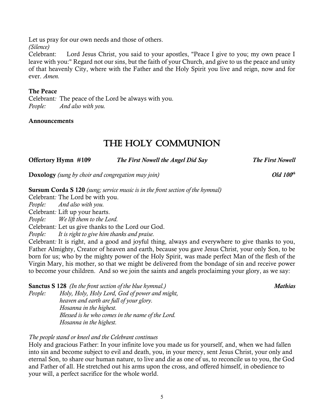Let us pray for our own needs and those of others.

*(Silence)*

Celebrant: Lord Jesus Christ, you said to your apostles, "Peace I give to you; my own peace I leave with you:" Regard not our sins, but the faith of your Church, and give to us the peace and unity of that heavenly City, where with the Father and the Holy Spirit you live and reign, now and for ever. *Amen.*

#### The Peace

Celebrant*:* The peace of the Lord be always with you*. People: And also with you.*

#### Announcements

## The Holy Communion

| Offertory Hymn #109 | The First Nowell the Angel Did Say | <b>The First Nowell</b> |
|---------------------|------------------------------------|-------------------------|
|                     |                                    |                         |

Doxology *(sung by choir and congregation may join) Old 100<sup>th</sup></sup>* 

Sursum Corda S 120 *(sung; service music is in the front section of the hymnal)*

Celebrant*:* The Lord be with you.

*People: And also with you.*

Celebrant*:* Lift up your hearts.

*People: We lift them to the Lord.*

Celebrant*:* Let us give thanks to the Lord our God.

*People: It is right to give him thanks and praise.*

Celebrant*:* It is right, and a good and joyful thing, always and everywhere to give thanks to you, Father Almighty, Creator of heaven and earth, because you gave Jesus Christ, your only Son, to be born for us; who by the mighty power of the Holy Spirit, was made perfect Man of the flesh of the Virgin Mary, his mother, so that we might be delivered from the bondage of sin and receive power to become your children. And so we join the saints and angels proclaiming your glory, as we say:

Sanctus S 128 *(In the front section of the blue hymnal.) Mathias*

*People: Holy, Holy, Holy Lord, God of power and might, heaven and earth are full of your glory. Hosanna in the highest. Blessed is he who comes in the name of the Lord. Hosanna in the highest.*

#### *The people stand or kneel and the Celebrant continues*

Holy and gracious Father: In your infinite love you made us for yourself, and, when we had fallen into sin and become subject to evil and death, you, in your mercy, sent Jesus Christ, your only and eternal Son, to share our human nature, to live and die as one of us, to reconcile us to you, the God and Father of all. He stretched out his arms upon the cross, and offered himself, in obedience to your will, a perfect sacrifice for the whole world.

5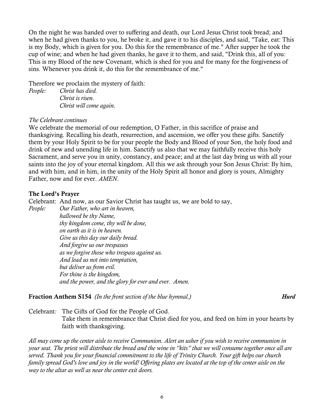On the night he was handed over to suffering and death, our Lord Jesus Christ took bread; and when he had given thanks to you, he broke it, and gave it to his disciples, and said, "Take, eat: This is my Body, which is given for you. Do this for the remembrance of me." After supper he took the cup of wine; and when he had given thanks, he gave it to them, and said, "Drink this, all of you: This is my Blood of the new Covenant, which is shed for you and for many for the forgiveness of sins. Whenever you drink it, do this for the remembrance of me."

Therefore we proclaim the mystery of faith:

*People: Christ has died. Christ is risen. Christ will come again.*

#### *The Celebrant continues*

We celebrate the memorial of our redemption, O Father, in this sacrifice of praise and thanksgiving. Recalling his death, resurrection, and ascension, we offer you these gifts. Sanctify them by your Holy Spirit to be for your people the Body and Blood of your Son, the holy food and drink of new and unending life in him. Sanctify us also that we may faithfully receive this holy Sacrament, and serve you in unity, constancy, and peace; and at the last day bring us with all your saints into the joy of your eternal kingdom. All this we ask through your Son Jesus Christ: By him, and with him, and in him, in the unity of the Holy Spirit all honor and glory is yours, Almighty Father, now and for ever. *AMEN*.

#### The Lord's Prayer

Celebrant: And now, as our Savior Christ has taught us, we are bold to say,

*People: Our Father, who art in heaven, hallowed be thy Name, thy kingdom come, thy will be done, on earth as it is in heaven. Give us this day our daily bread. And forgive us our trespasses as we forgive those who trespass against us. And lead us not into temptation, but deliver us from evil. For thine is the kingdom, and the power, and the glory for ever and ever. Amen.*

#### Fraction Anthem S154 *(In the front section of the blue hymnal.) Hurd*

Celebrant*:* The Gifts of God for the People of God.

Take them in remembrance that Christ died for you, and feed on him in your hearts by faith with thanksgiving.

*All may come up the center aisle to receive Communion. Alert an usher if you wish to receive communion in your seat. The priest will distribute the bread and the wine in "kits" that we will consume together once all are served. Thank you for your financial commitment to the life of Trinity Church. Your gift helps our church family spread God's love and joy in the world! Offering plates are located at the top of the center aisle on the way to the altar as well as near the center exit doors.*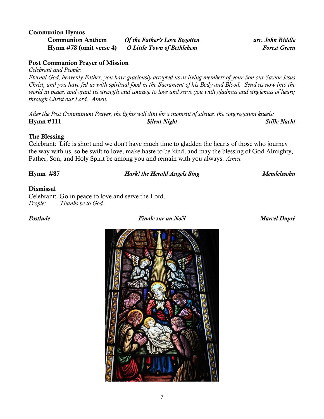Communion Hymns Communion Anthem *Of the Father's Love Begotten arr. John Riddle* Hymn #78 (omit verse 4) *O Little Town of Bethlehem Forest Green*

### Post Communion Prayer of Mission

*Celebrant and People:*

*Eternal God, heavenly Father, you have graciously accepted us as living members of your Son our Savior Jesus Christ, and you have fed us with spiritual food in the Sacrament of his Body and Blood. Send us now into the world in peace, and grant us strength and courage to love and serve you with gladness and singleness of heart; through Christ our Lord. Amen.*

*After the Post Communion Prayer, the lights will dim for a moment of silence, the congregation kneels:* Hymn #111 *Silent Night Stille Nacht*

#### The Blessing

Celebrant: Life is short and we don't have much time to gladden the hearts of those who journey the way with us, so be swift to love, make haste to be kind, and may the blessing of God Almighty, Father, Son, and Holy Spirit be among you and remain with you always. *Amen.*

### Hymn #87 *Hark! the Herald Angels Sing Mendelssohn*

#### Dismissal

Celebrant: Go in peace to love and serve the Lord. *People: Thanks be to God.*

*Postlude Finale sur un Noël Marcel Dupré*